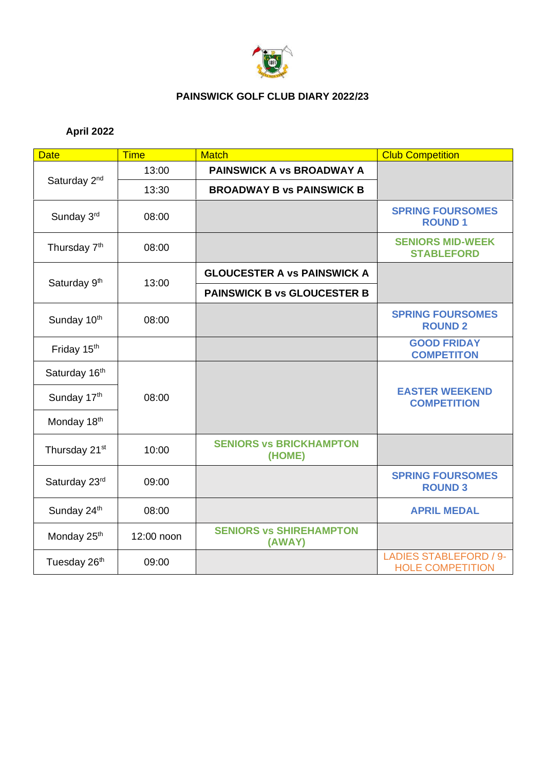

# **PAINSWICK GOLF CLUB DIARY 2022/23**

# **April 2022**

| <b>Date</b>               | <b>Time</b> | <b>Match</b>                             | <b>Club Competition</b>                                  |
|---------------------------|-------------|------------------------------------------|----------------------------------------------------------|
|                           | 13:00       | <b>PAINSWICK A vs BROADWAY A</b>         |                                                          |
| Saturday 2 <sup>nd</sup>  | 13:30       | <b>BROADWAY B vs PAINSWICK B</b>         |                                                          |
| Sunday 3rd                | 08:00       |                                          | <b>SPRING FOURSOMES</b><br><b>ROUND1</b>                 |
| Thursday 7 <sup>th</sup>  | 08:00       |                                          | <b>SENIORS MID-WEEK</b><br><b>STABLEFORD</b>             |
|                           | 13:00       | <b>GLOUCESTER A vs PAINSWICK A</b>       |                                                          |
| Saturday 9 <sup>th</sup>  |             | <b>PAINSWICK B vs GLOUCESTER B</b>       |                                                          |
| Sunday 10th               | 08:00       |                                          | <b>SPRING FOURSOMES</b><br><b>ROUND 2</b>                |
| Friday 15th               |             |                                          | <b>GOOD FRIDAY</b><br><b>COMPETITON</b>                  |
| Saturday 16th             |             |                                          |                                                          |
| Sunday 17th               | 08:00       |                                          | <b>EASTER WEEKEND</b><br><b>COMPETITION</b>              |
| Monday 18th               |             |                                          |                                                          |
| Thursday 21 <sup>st</sup> | 10:00       | <b>SENIORS VS BRICKHAMPTON</b><br>(HOME) |                                                          |
| Saturday 23rd             | 09:00       |                                          | <b>SPRING FOURSOMES</b><br><b>ROUND 3</b>                |
| Sunday 24th               | 08:00       |                                          | <b>APRIL MEDAL</b>                                       |
| Monday 25 <sup>th</sup>   | 12:00 noon  | <b>SENIORS VS SHIREHAMPTON</b><br>(AWAY) |                                                          |
| Tuesday 26th              | 09:00       |                                          | <b>LADIES STABLEFORD / 9-</b><br><b>HOLE COMPETITION</b> |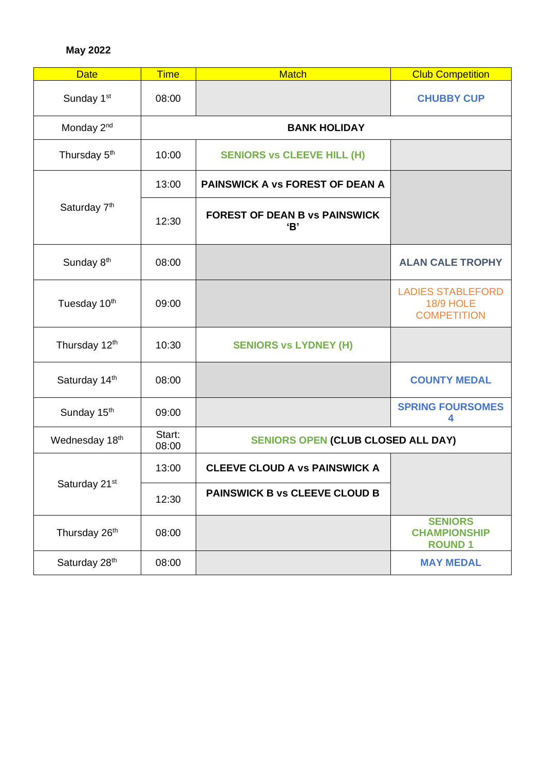# **May 2022**

| <b>Date</b>               | <b>Time</b>     | <b>Match</b>                                | <b>Club Competition</b>                                            |
|---------------------------|-----------------|---------------------------------------------|--------------------------------------------------------------------|
| Sunday 1 <sup>st</sup>    | 08:00           |                                             | <b>CHUBBY CUP</b>                                                  |
| Monday 2 <sup>nd</sup>    |                 | <b>BANK HOLIDAY</b>                         |                                                                    |
| Thursday 5 <sup>th</sup>  | 10:00           | <b>SENIORS vs CLEEVE HILL (H)</b>           |                                                                    |
|                           | 13:00           | <b>PAINSWICK A vs FOREST OF DEAN A</b>      |                                                                    |
| Saturday 7 <sup>th</sup>  | 12:30           | <b>FOREST OF DEAN B vs PAINSWICK</b><br>'B' |                                                                    |
| Sunday 8 <sup>th</sup>    | 08:00           |                                             | <b>ALAN CALE TROPHY</b>                                            |
| Tuesday 10 <sup>th</sup>  | 09:00           |                                             | <b>LADIES STABLEFORD</b><br><b>18/9 HOLE</b><br><b>COMPETITION</b> |
| Thursday 12th             | 10:30           | <b>SENIORS vs LYDNEY (H)</b>                |                                                                    |
| Saturday 14th             | 08:00           |                                             | <b>COUNTY MEDAL</b>                                                |
| Sunday 15th               | 09:00           |                                             | <b>SPRING FOURSOMES</b><br>4                                       |
| Wednesday 18th            | Start:<br>08:00 | <b>SENIORS OPEN (CLUB CLOSED ALL DAY)</b>   |                                                                    |
| Saturday 21 <sup>st</sup> | 13:00           | <b>CLEEVE CLOUD A vs PAINSWICK A</b>        |                                                                    |
|                           | 12:30           | <b>PAINSWICK B vs CLEEVE CLOUD B</b>        |                                                                    |
| Thursday 26th             | 08:00           |                                             | <b>SENIORS</b><br><b>CHAMPIONSHIP</b><br><b>ROUND1</b>             |
| Saturday 28 <sup>th</sup> | 08:00           |                                             | <b>MAY MEDAL</b>                                                   |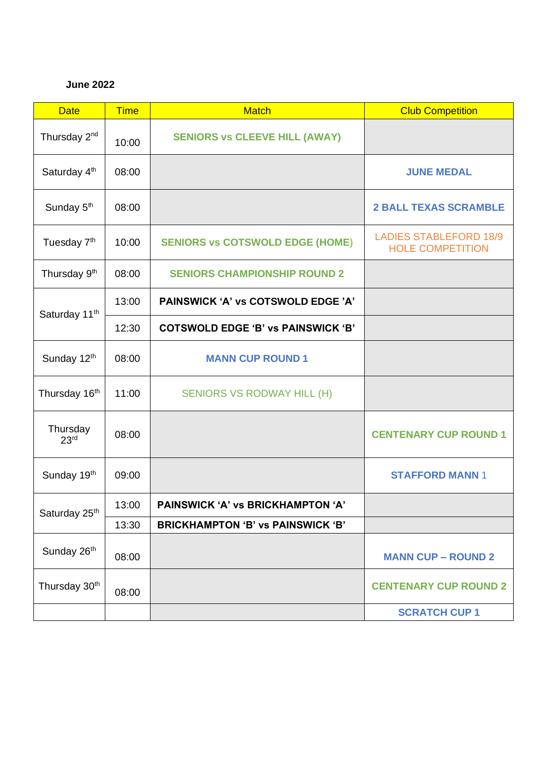### **June 2022**

| <b>Date</b>                  | <b>Time</b> | <b>Match</b>                              | <b>Club Competition</b>                                  |
|------------------------------|-------------|-------------------------------------------|----------------------------------------------------------|
| Thursday 2 <sup>nd</sup>     | 10:00       | <b>SENIORS vs CLEEVE HILL (AWAY)</b>      |                                                          |
| Saturday 4 <sup>th</sup>     | 08:00       |                                           | <b>JUNE MEDAL</b>                                        |
| Sunday 5 <sup>th</sup>       | 08:00       |                                           | <b>2 BALL TEXAS SCRAMBLE</b>                             |
| Tuesday 7 <sup>th</sup>      | 10:00       | <b>SENIORS vs COTSWOLD EDGE (HOME)</b>    | <b>LADIES STABLEFORD 18/9</b><br><b>HOLE COMPETITION</b> |
| Thursday 9 <sup>th</sup>     | 08:00       | <b>SENIORS CHAMPIONSHIP ROUND 2</b>       |                                                          |
| Saturday 11 <sup>th</sup>    | 13:00       | PAINSWICK 'A' vs COTSWOLD EDGE 'A'        |                                                          |
| 12:30                        |             | <b>COTSWOLD EDGE 'B' vs PAINSWICK 'B'</b> |                                                          |
| Sunday 12th                  | 08:00       | <b>MANN CUP ROUND 1</b>                   |                                                          |
| Thursday 16 <sup>th</sup>    | 11:00       | <b>SENIORS VS RODWAY HILL (H)</b>         |                                                          |
| Thursday<br>23 <sup>rd</sup> | 08:00       |                                           | <b>CENTENARY CUP ROUND 1</b>                             |
| Sunday 19th                  | 09:00       |                                           | <b>STAFFORD MANN 1</b>                                   |
| Saturday 25 <sup>th</sup>    | 13:00       | PAINSWICK 'A' vs BRICKHAMPTON 'A'         |                                                          |
|                              | 13:30       | <b>BRICKHAMPTON 'B' vs PAINSWICK 'B'</b>  |                                                          |
| Sunday 26th                  | 08:00       |                                           | <b>MANN CUP - ROUND 2</b>                                |
| Thursday 30th                | 08:00       |                                           | <b>CENTENARY CUP ROUND 2</b>                             |
|                              |             |                                           | <b>SCRATCH CUP1</b>                                      |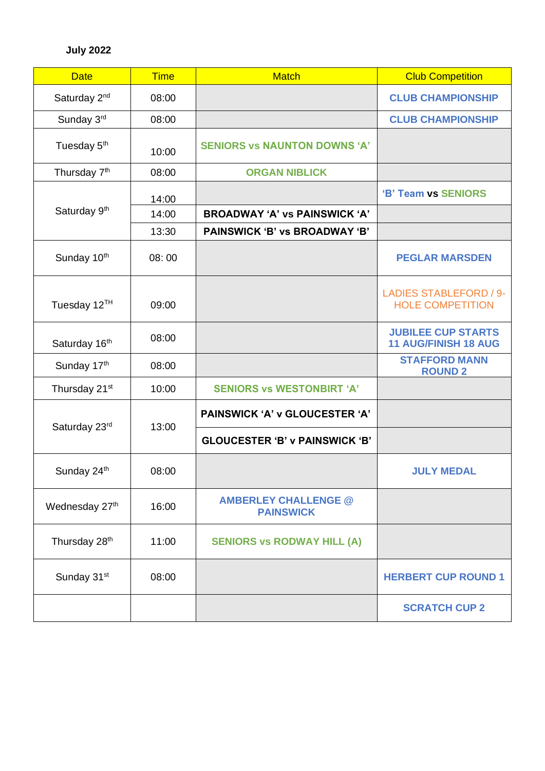**July 2022**

| <b>Date</b>               | <b>Time</b> | <b>Match</b>                                    | <b>Club Competition</b>                                  |
|---------------------------|-------------|-------------------------------------------------|----------------------------------------------------------|
| Saturday 2 <sup>nd</sup>  | 08:00       |                                                 | <b>CLUB CHAMPIONSHIP</b>                                 |
| Sunday 3rd                | 08:00       |                                                 | <b>CLUB CHAMPIONSHIP</b>                                 |
| Tuesday 5 <sup>th</sup>   | 10:00       | <b>SENIORS VS NAUNTON DOWNS 'A'</b>             |                                                          |
| Thursday 7 <sup>th</sup>  | 08:00       | <b>ORGAN NIBLICK</b>                            |                                                          |
|                           | 14:00       |                                                 | 'B' Team vs SENIORS                                      |
| Saturday 9 <sup>th</sup>  | 14:00       | <b>BROADWAY 'A' vs PAINSWICK 'A'</b>            |                                                          |
|                           | 13:30       | PAINSWICK 'B' vs BROADWAY 'B'                   |                                                          |
| Sunday 10th               | 08:00       |                                                 | <b>PEGLAR MARSDEN</b>                                    |
| Tuesday 12 <sup>TH</sup>  | 09:00       |                                                 | <b>LADIES STABLEFORD / 9-</b><br><b>HOLE COMPETITION</b> |
| Saturday 16th             | 08:00       |                                                 | <b>JUBILEE CUP STARTS</b><br><b>11 AUG/FINISH 18 AUG</b> |
| Sunday 17th               | 08:00       |                                                 | <b>STAFFORD MANN</b><br><b>ROUND 2</b>                   |
| Thursday 21 <sup>st</sup> | 10:00       | <b>SENIORS vs WESTONBIRT 'A'</b>                |                                                          |
|                           | 13:00       | PAINSWICK 'A' v GLOUCESTER 'A'                  |                                                          |
| Saturday 23rd             |             | <b>GLOUCESTER 'B' v PAINSWICK 'B'</b>           |                                                          |
| Sunday 24th               | 08:00       |                                                 | <b>JULY MEDAL</b>                                        |
| Wednesday 27th            | 16:00       | <b>AMBERLEY CHALLENGE @</b><br><b>PAINSWICK</b> |                                                          |
| Thursday 28th             | 11:00       | <b>SENIORS vs RODWAY HILL (A)</b>               |                                                          |
| Sunday 31 <sup>st</sup>   | 08:00       |                                                 | <b>HERBERT CUP ROUND 1</b>                               |
|                           |             |                                                 | <b>SCRATCH CUP 2</b>                                     |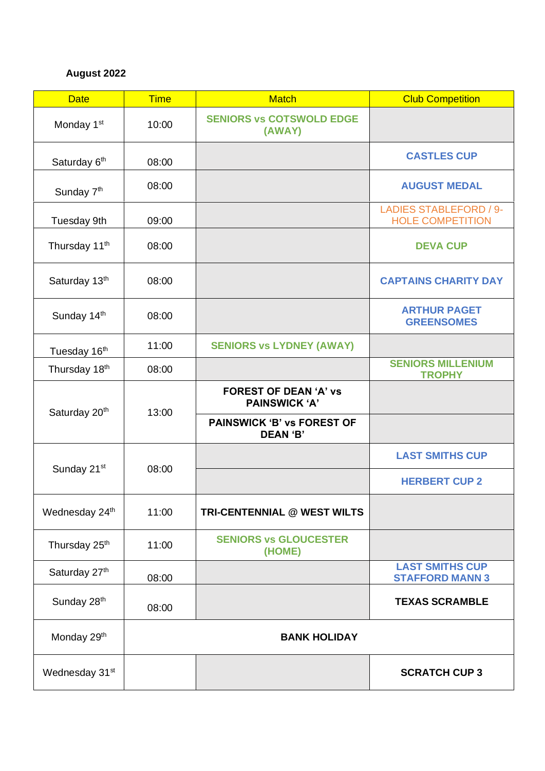# **August 2022**

| <b>Date</b>               | <b>Time</b> | <b>Match</b>                                         | <b>Club Competition</b>                                  |
|---------------------------|-------------|------------------------------------------------------|----------------------------------------------------------|
| Monday 1 <sup>st</sup>    | 10:00       | <b>SENIORS vs COTSWOLD EDGE</b><br>(AWAY)            |                                                          |
| Saturday 6th              | 08:00       |                                                      | <b>CASTLES CUP</b>                                       |
| Sunday 7 <sup>th</sup>    | 08:00       |                                                      | <b>AUGUST MEDAL</b>                                      |
| Tuesday 9th               | 09:00       |                                                      | <b>LADIES STABLEFORD / 9-</b><br><b>HOLE COMPETITION</b> |
| Thursday 11 <sup>th</sup> | 08:00       |                                                      | <b>DEVA CUP</b>                                          |
| Saturday 13th             | 08:00       |                                                      | <b>CAPTAINS CHARITY DAY</b>                              |
| Sunday 14th               | 08:00       |                                                      | <b>ARTHUR PAGET</b><br><b>GREENSOMES</b>                 |
| Tuesday 16th              | 11:00       | <b>SENIORS vs LYDNEY (AWAY)</b>                      |                                                          |
| Thursday 18th             | 08:00       |                                                      | <b>SENIORS MILLENIUM</b><br><b>TROPHY</b>                |
| Saturday 20th             | 13:00       | <b>FOREST OF DEAN 'A' vs</b><br><b>PAINSWICK 'A'</b> |                                                          |
|                           |             | <b>PAINSWICK 'B' vs FOREST OF</b><br>DEAN 'B'        |                                                          |
|                           | 08:00       |                                                      | <b>LAST SMITHS CUP</b>                                   |
| Sunday 21 <sup>st</sup>   |             |                                                      | <b>HERBERT CUP 2</b>                                     |
| Wednesday 24th            | 11:00       | TRI-CENTENNIAL @ WEST WILTS                          |                                                          |
| Thursday 25th             | 11:00       | <b>SENIORS vs GLOUCESTER</b><br>(HOME)               |                                                          |
| Saturday 27th             | 08:00       |                                                      | <b>LAST SMITHS CUP</b><br><b>STAFFORD MANN 3</b>         |
| Sunday 28 <sup>th</sup>   | 08:00       |                                                      | <b>TEXAS SCRAMBLE</b>                                    |
| Monday 29th               |             | <b>BANK HOLIDAY</b>                                  |                                                          |
| Wednesday 31st            |             |                                                      | <b>SCRATCH CUP 3</b>                                     |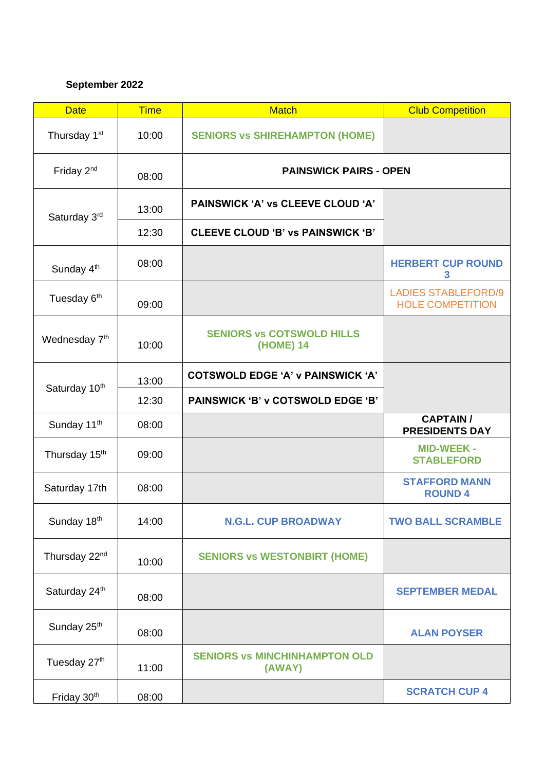### **September 2022**

| <b>Date</b>               | <b>Time</b> | <b>Match</b>                                   | <b>Club Competition</b>                               |
|---------------------------|-------------|------------------------------------------------|-------------------------------------------------------|
| Thursday 1 <sup>st</sup>  | 10:00       | <b>SENIORS vs SHIREHAMPTON (HOME)</b>          |                                                       |
| Friday 2 <sup>nd</sup>    | 08:00       | <b>PAINSWICK PAIRS - OPEN</b>                  |                                                       |
| Saturday 3rd              | 13:00       | PAINSWICK 'A' vs CLEEVE CLOUD 'A'              |                                                       |
|                           | 12:30       | <b>CLEEVE CLOUD 'B' vs PAINSWICK 'B'</b>       |                                                       |
| Sunday 4 <sup>th</sup>    | 08:00       |                                                | <b>HERBERT CUP ROUND</b><br>3                         |
| Tuesday 6 <sup>th</sup>   | 09:00       |                                                | <b>LADIES STABLEFORD/9</b><br><b>HOLE COMPETITION</b> |
| Wednesday 7th             | 10:00       | <b>SENIORS VS COTSWOLD HILLS</b><br>(HOME) 14  |                                                       |
| Saturday 10th             | 13:00       | <b>COTSWOLD EDGE 'A' v PAINSWICK 'A'</b>       |                                                       |
|                           | 12:30       | PAINSWICK 'B' v COTSWOLD EDGE 'B'              |                                                       |
| Sunday 11 <sup>th</sup>   | 08:00       |                                                | <b>CAPTAIN/</b><br><b>PRESIDENTS DAY</b>              |
| Thursday 15 <sup>th</sup> | 09:00       |                                                | <b>MID-WEEK -</b><br><b>STABLEFORD</b>                |
| Saturday 17th             | 08:00       |                                                | <b>STAFFORD MANN</b><br><b>ROUND4</b>                 |
| Sunday 18th               | 14:00       | <b>N.G.L. CUP BROADWAY</b>                     | <b>TWO BALL SCRAMBLE</b>                              |
| Thursday 22 <sup>nd</sup> | 10:00       | <b>SENIORS vs WESTONBIRT (HOME)</b>            |                                                       |
| Saturday 24th             | 08:00       |                                                | <b>SEPTEMBER MEDAL</b>                                |
| Sunday 25 <sup>th</sup>   | 08:00       |                                                | <b>ALAN POYSER</b>                                    |
| Tuesday 27th              | 11:00       | <b>SENIORS VS MINCHINHAMPTON OLD</b><br>(AWAY) |                                                       |
| Friday 30th               | 08:00       |                                                | <b>SCRATCH CUP 4</b>                                  |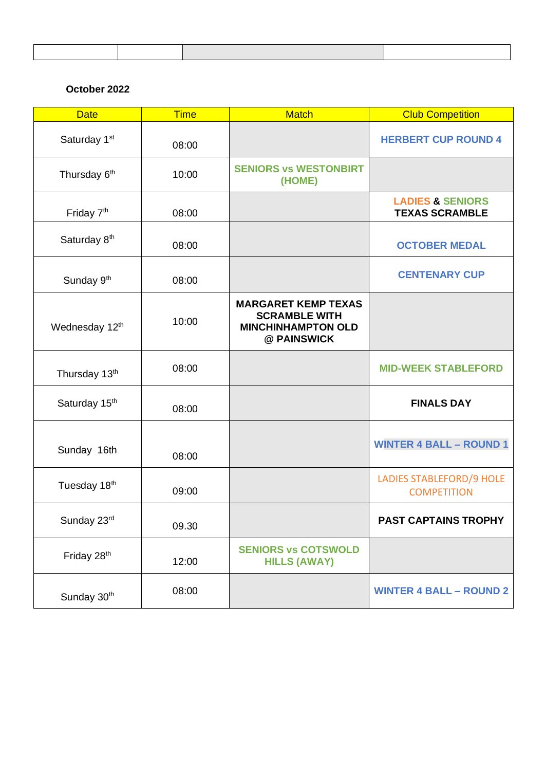### **October 2022**

| <b>Date</b>              | <b>Time</b> | <b>Match</b>                                                                                   | <b>Club Competition</b>                               |
|--------------------------|-------------|------------------------------------------------------------------------------------------------|-------------------------------------------------------|
| Saturday 1 <sup>st</sup> | 08:00       |                                                                                                | <b>HERBERT CUP ROUND 4</b>                            |
| Thursday 6th             | 10:00       | <b>SENIORS vs WESTONBIRT</b><br>(HOME)                                                         |                                                       |
| Friday 7 <sup>th</sup>   | 08:00       |                                                                                                | <b>LADIES &amp; SENIORS</b><br><b>TEXAS SCRAMBLE</b>  |
| Saturday 8th             | 08:00       |                                                                                                | <b>OCTOBER MEDAL</b>                                  |
| Sunday 9 <sup>th</sup>   | 08:00       |                                                                                                | <b>CENTENARY CUP</b>                                  |
| Wednesday 12th           | 10:00       | <b>MARGARET KEMP TEXAS</b><br><b>SCRAMBLE WITH</b><br><b>MINCHINHAMPTON OLD</b><br>@ PAINSWICK |                                                       |
| Thursday 13th            | 08:00       |                                                                                                | <b>MID-WEEK STABLEFORD</b>                            |
| Saturday 15th            | 08:00       |                                                                                                | <b>FINALS DAY</b>                                     |
| Sunday 16th              | 08:00       |                                                                                                | <b>WINTER 4 BALL - ROUND 1</b>                        |
| Tuesday 18th             | 09:00       |                                                                                                | <b>LADIES STABLEFORD/9 HOLE</b><br><b>COMPETITION</b> |
| Sunday 23rd              | 09.30       |                                                                                                | <b>PAST CAPTAINS TROPHY</b>                           |
| Friday 28 <sup>th</sup>  | 12:00       | <b>SENIORS vs COTSWOLD</b><br><b>HILLS (AWAY)</b>                                              |                                                       |
| Sunday 30 <sup>th</sup>  | 08:00       |                                                                                                | <b>WINTER 4 BALL - ROUND 2</b>                        |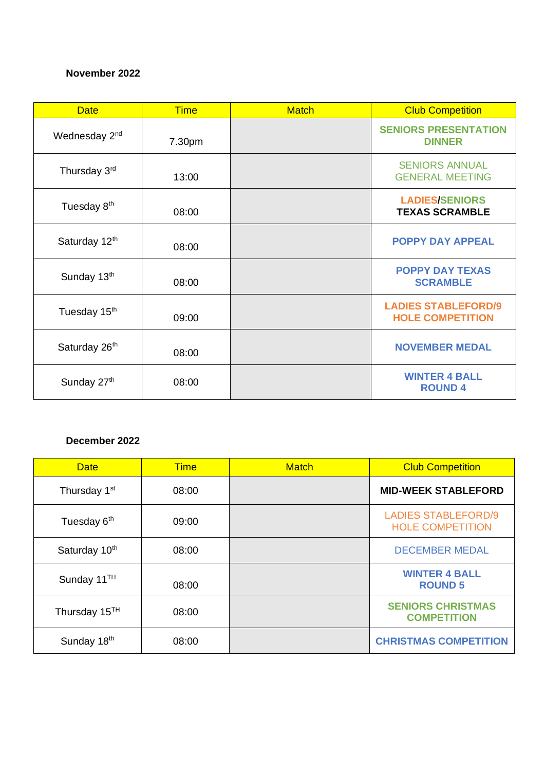### **November 2022**

| <b>Date</b>               | <b>Time</b> | <b>Match</b> | <b>Club Competition</b>                               |
|---------------------------|-------------|--------------|-------------------------------------------------------|
| Wednesday 2 <sup>nd</sup> | 7.30pm      |              | <b>SENIORS PRESENTATION</b><br><b>DINNER</b>          |
| Thursday 3rd              | 13:00       |              | <b>SENIORS ANNUAL</b><br><b>GENERAL MEETING</b>       |
| Tuesday 8 <sup>th</sup>   | 08:00       |              | <b>LADIES/SENIORS</b><br><b>TEXAS SCRAMBLE</b>        |
| Saturday 12th             | 08:00       |              | <b>POPPY DAY APPEAL</b>                               |
| Sunday 13th               | 08:00       |              | <b>POPPY DAY TEXAS</b><br><b>SCRAMBLE</b>             |
| Tuesday 15th              | 09:00       |              | <b>LADIES STABLEFORD/9</b><br><b>HOLE COMPETITION</b> |
| Saturday 26th             | 08:00       |              | <b>NOVEMBER MEDAL</b>                                 |
| Sunday 27th               | 08:00       |              | <b>WINTER 4 BALL</b><br><b>ROUND4</b>                 |

### **December 2022**

| <b>Date</b>               | <b>Time</b> | <b>Match</b> | <b>Club Competition</b>                               |
|---------------------------|-------------|--------------|-------------------------------------------------------|
| Thursday 1 <sup>st</sup>  | 08:00       |              | <b>MID-WEEK STABLEFORD</b>                            |
| Tuesday 6 <sup>th</sup>   | 09:00       |              | <b>LADIES STABLEFORD/9</b><br><b>HOLE COMPETITION</b> |
| Saturday 10th             | 08:00       |              | <b>DECEMBER MEDAL</b>                                 |
| Sunday 11 <sup>TH</sup>   | 08:00       |              | <b>WINTER 4 BALL</b><br><b>ROUND 5</b>                |
| Thursday 15 <sup>TH</sup> | 08:00       |              | <b>SENIORS CHRISTMAS</b><br><b>COMPETITION</b>        |
| Sunday 18th               | 08:00       |              | <b>CHRISTMAS COMPETITION</b>                          |